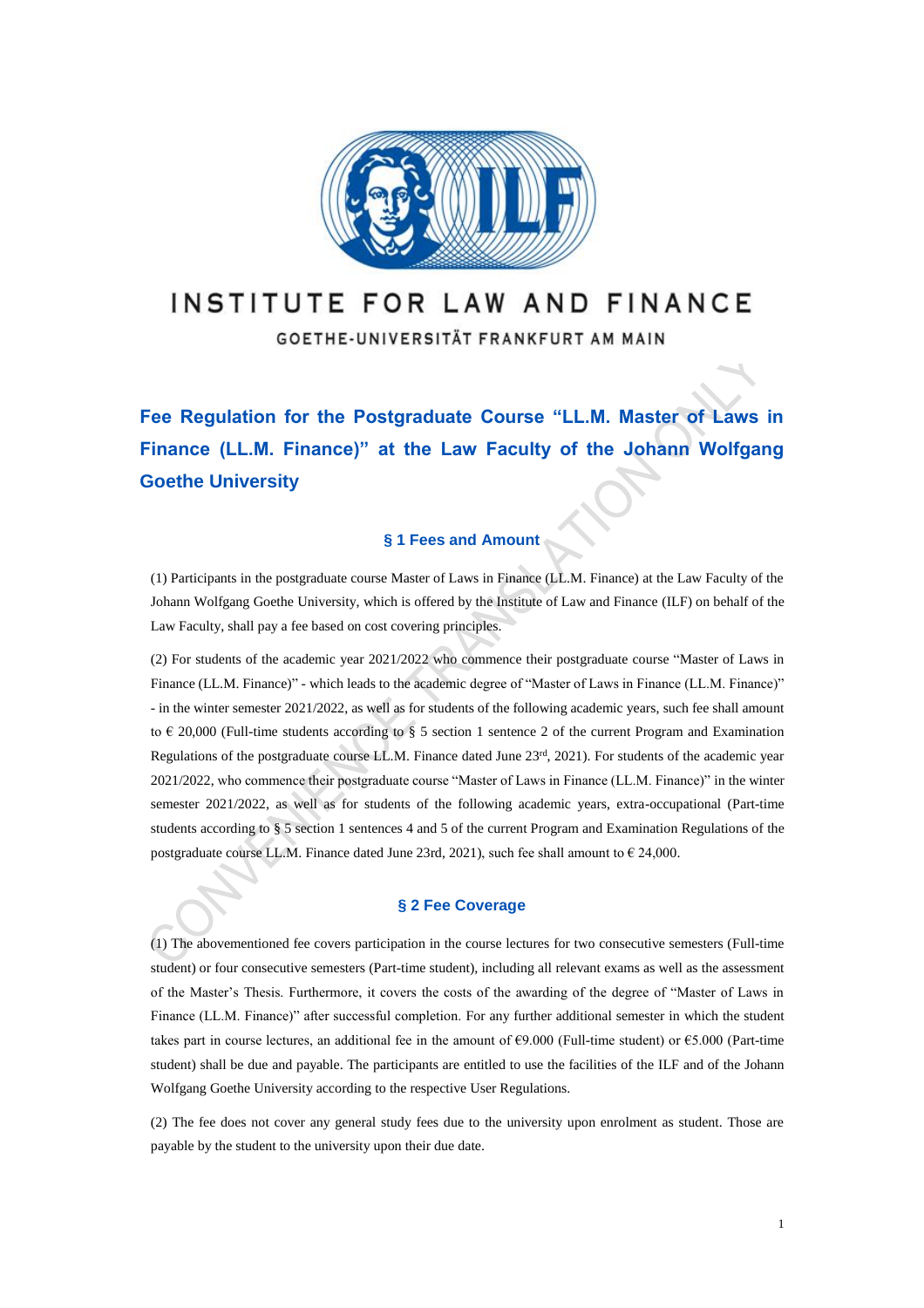

# INSTITUTE FOR LAW AND FINANCE

GOETHE-UNIVERSITÄT FRANKFURT AM MAIN

**Fee Regulation for the Postgraduate Course "LL.M. Master of Laws in Finance (LL.M. Finance)" at the Law Faculty of the Johann Wolfgang Goethe University**

# **§ 1 Fees and Amount**

(1) Participants in the postgraduate course Master of Laws in Finance (LL.M. Finance) at the Law Faculty of the Johann Wolfgang Goethe University, which is offered by the Institute of Law and Finance (ILF) on behalf of the Law Faculty, shall pay a fee based on cost covering principles.

(2) For students of the academic year 2021/2022 who commence their postgraduate course "Master of Laws in Finance (LL.M. Finance)" - which leads to the academic degree of "Master of Laws in Finance (LL.M. Finance)" - in the winter semester 2021/2022, as well as for students of the following academic years, such fee shall amount to  $\epsilon$  20,000 (Full-time students according to § 5 section 1 sentence 2 of the current Program and Examination Regulations of the postgraduate course LL.M. Finance dated June  $23<sup>rd</sup>$ , 2021). For students of the academic year 2021/2022, who commence their postgraduate course "Master of Laws in Finance (LL.M. Finance)" in the winter semester 2021/2022, as well as for students of the following academic years, extra-occupational (Part-time students according to § 5 section 1 sentences 4 and 5 of the current Program and Examination Regulations of the postgraduate course LL.M. Finance dated June 23rd, 2021), such fee shall amount to  $\epsilon$  24,000.

### **§ 2 Fee Coverage**

(1) The abovementioned fee covers participation in the course lectures for two consecutive semesters (Full-time student) or four consecutive semesters (Part-time student), including all relevant exams as well as the assessment of the Master's Thesis. Furthermore, it covers the costs of the awarding of the degree of "Master of Laws in Finance (LL.M. Finance)" after successful completion. For any further additional semester in which the student takes part in course lectures, an additional fee in the amount of €9.000 (Full-time student) or €5.000 (Part-time student) shall be due and payable. The participants are entitled to use the facilities of the ILF and of the Johann Wolfgang Goethe University according to the respective User Regulations.

(2) The fee does not cover any general study fees due to the university upon enrolment as student. Those are payable by the student to the university upon their due date.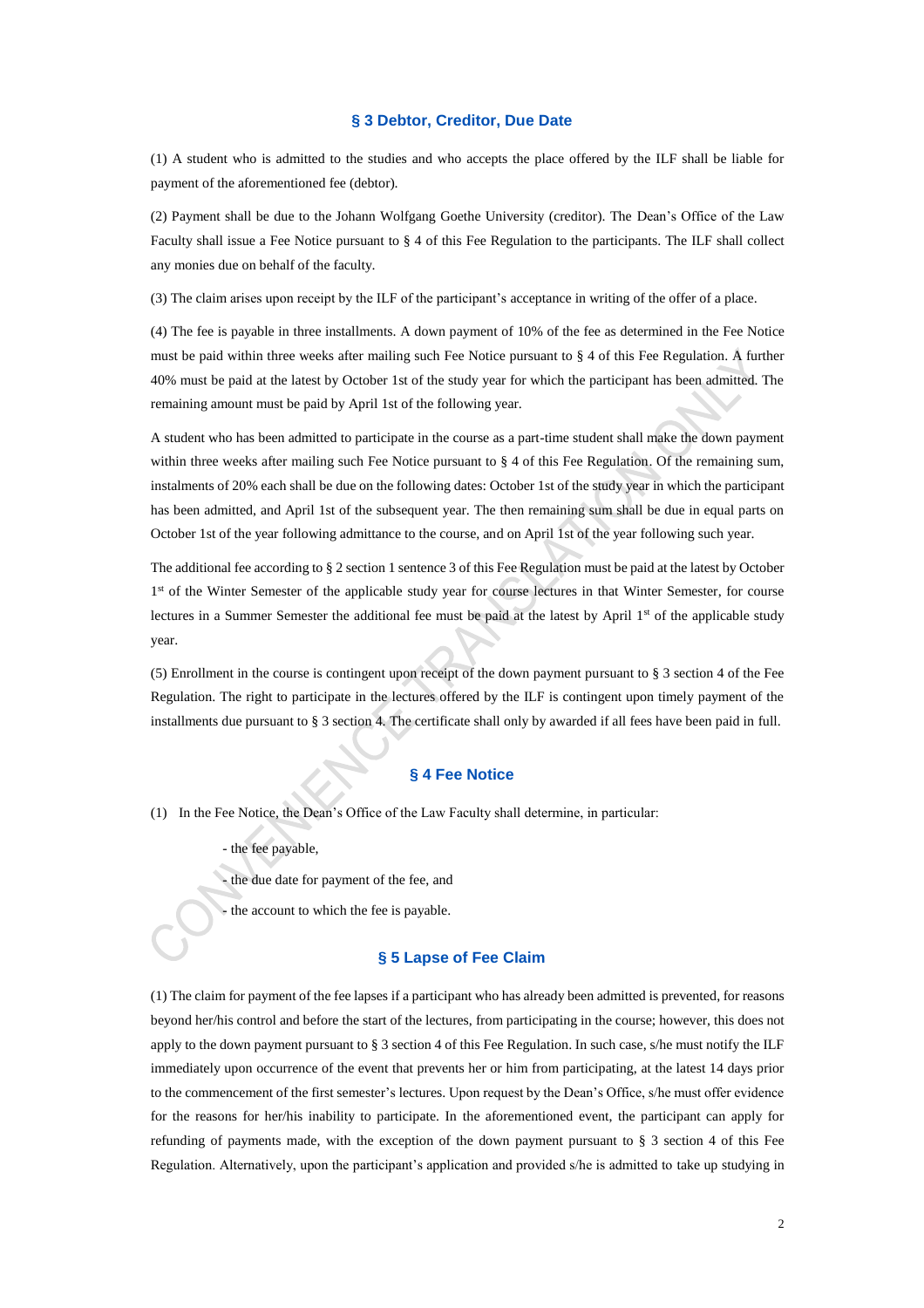#### **§ 3 Debtor, Creditor, Due Date**

(1) A student who is admitted to the studies and who accepts the place offered by the ILF shall be liable for payment of the aforementioned fee (debtor).

(2) Payment shall be due to the Johann Wolfgang Goethe University (creditor). The Dean's Office of the Law Faculty shall issue a Fee Notice pursuant to § 4 of this Fee Regulation to the participants. The ILF shall collect any monies due on behalf of the faculty.

(3) The claim arises upon receipt by the ILF of the participant's acceptance in writing of the offer of a place.

(4) The fee is payable in three installments. A down payment of 10% of the fee as determined in the Fee Notice must be paid within three weeks after mailing such Fee Notice pursuant to § 4 of this Fee Regulation. A further 40% must be paid at the latest by October 1st of the study year for which the participant has been admitted. The remaining amount must be paid by April 1st of the following year.

A student who has been admitted to participate in the course as a part-time student shall make the down payment within three weeks after mailing such Fee Notice pursuant to § 4 of this Fee Regulation. Of the remaining sum, instalments of 20% each shall be due on the following dates: October 1st of the study year in which the participant has been admitted, and April 1st of the subsequent year. The then remaining sum shall be due in equal parts on October 1st of the year following admittance to the course, and on April 1st of the year following such year.

The additional fee according to § 2 section 1 sentence 3 of this Fee Regulation must be paid at the latest by October 1<sup>st</sup> of the Winter Semester of the applicable study year for course lectures in that Winter Semester, for course lectures in a Summer Semester the additional fee must be paid at the latest by April 1st of the applicable study year.

(5) Enrollment in the course is contingent upon receipt of the down payment pursuant to § 3 section 4 of the Fee Regulation. The right to participate in the lectures offered by the ILF is contingent upon timely payment of the installments due pursuant to § 3 section 4. The certificate shall only by awarded if all fees have been paid in full.

# **§ 4 Fee Notice**

- (1) In the Fee Notice, the Dean's Office of the Law Faculty shall determine, in particular:
	- the fee payable,
	- the due date for payment of the fee, and
	- the account to which the fee is payable.

# **§ 5 Lapse of Fee Claim**

(1) The claim for payment of the fee lapses if a participant who has already been admitted is prevented, for reasons beyond her/his control and before the start of the lectures, from participating in the course; however, this does not apply to the down payment pursuant to § 3 section 4 of this Fee Regulation. In such case, s/he must notify the ILF immediately upon occurrence of the event that prevents her or him from participating, at the latest 14 days prior to the commencement of the first semester's lectures. Upon request by the Dean's Office, s/he must offer evidence for the reasons for her/his inability to participate. In the aforementioned event, the participant can apply for refunding of payments made, with the exception of the down payment pursuant to § 3 section 4 of this Fee Regulation. Alternatively, upon the participant's application and provided s/he is admitted to take up studying in